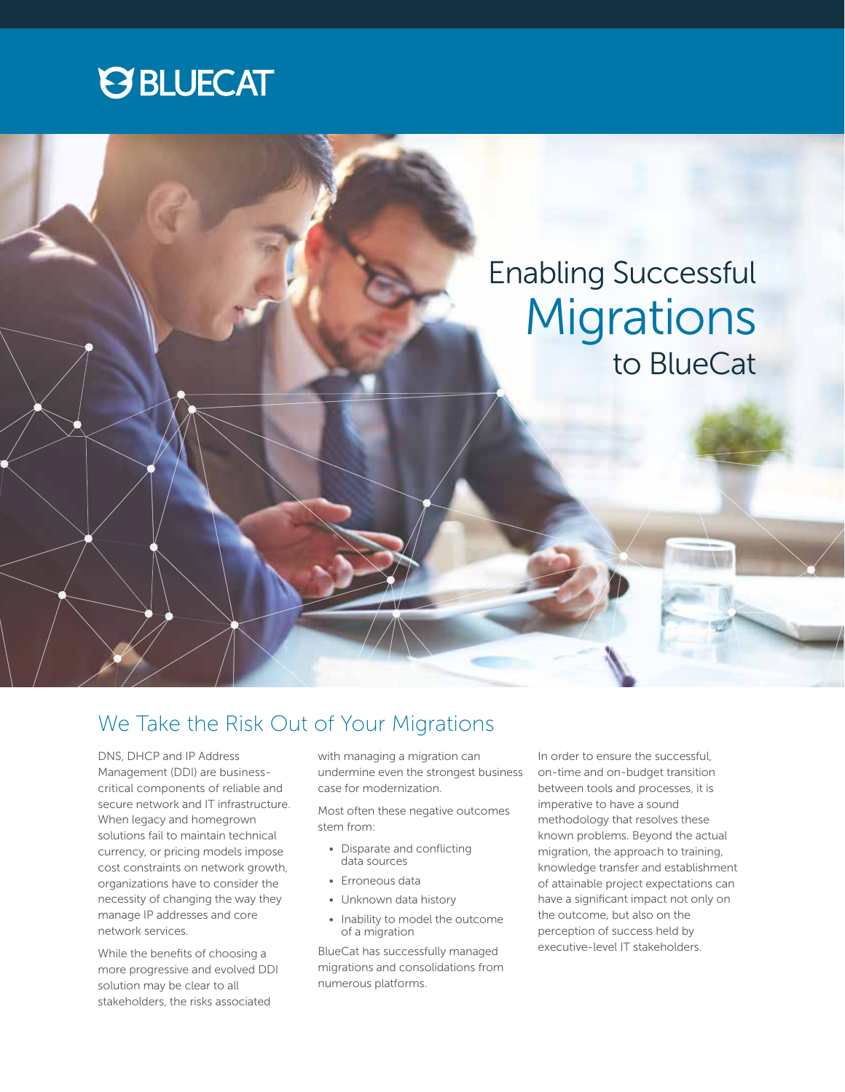



### We Take the Risk Out of Your Migrations

DNS, DHCP and IP Address Management (DDI) are businesscritical components of reliable and secure network and IT infrastructure. When legacy and homegrown solutions fail to maintain technical currency, or pricing models impose cost constraints on network growth, organizations have to consider the necessity of changing the way they manage IP addresses and core network services.

While the benefits of choosing a more progressive and evolved DDI solution may be clear to all stakeholders, the risks associated

with managing a migration can undermine even the strongest business case for modernization.

Most often these negative outcomes stem from:

- Disparate and conflicting data sources
- Erroneous data
- Unknown data history
- Inability to model the outcome of a migration

BlueCat has successfully managed migrations and consolidations from numerous platforms.

In order to ensure the successful, on-time and on-budget transition between tools and processes, it is imperative to have a sound methodology that resolves these known problems. Beyond the actual migration, the approach to training, knowledge transfer and establishment of attainable project expectations can have a significant impact not only on the outcome, but also on the perception of success held by executive-level IT stakeholders.